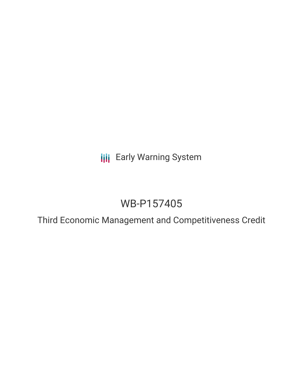**III** Early Warning System

# WB-P157405

Third Economic Management and Competitiveness Credit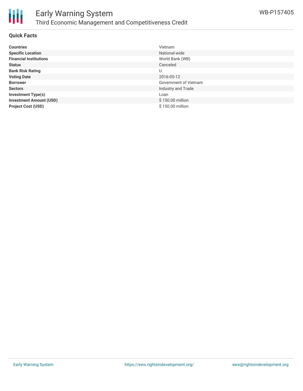

## **Quick Facts**

| <b>Countries</b>               | Vietnam               |
|--------------------------------|-----------------------|
| <b>Specific Location</b>       | National-wide         |
| <b>Financial Institutions</b>  | World Bank (WB)       |
| <b>Status</b>                  | Canceled              |
| <b>Bank Risk Rating</b>        | U                     |
| <b>Voting Date</b>             | 2016-05-12            |
| <b>Borrower</b>                | Government of Vietnam |
| <b>Sectors</b>                 | Industry and Trade    |
| <b>Investment Type(s)</b>      | Loan                  |
| <b>Investment Amount (USD)</b> | \$150.00 million      |
| <b>Project Cost (USD)</b>      | \$150.00 million      |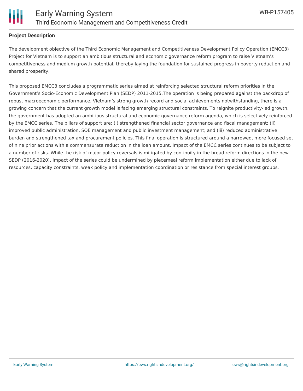

#### **Project Description**

The development objective of the Third Economic Management and Competitiveness Development Policy Operation (EMCC3) Project for Vietnam is to support an ambitious structural and economic governance reform program to raise Vietnam's competitiveness and medium growth potential, thereby laying the foundation for sustained progress in poverty reduction and shared prosperity.

This proposed EMCC3 concludes a programmatic series aimed at reinforcing selected structural reform priorities in the Government's Socio-Economic Development Plan (SEDP) 2011-2015.The operation is being prepared against the backdrop of robust macroeconomic performance. Vietnam's strong growth record and social achievements notwithstanding, there is a growing concern that the current growth model is facing emerging structural constraints. To reignite productivity-led growth, the government has adopted an ambitious structural and economic governance reform agenda, which is selectively reinforced by the EMCC series. The pillars of support are: (i) strengthened financial sector governance and fiscal management; (ii) improved public administration, SOE management and public investment management; and (iii) reduced administrative burden and strengthened tax and procurement policies. This final operation is structured around a narrowed, more focused set of nine prior actions with a commensurate reduction in the loan amount. Impact of the EMCC series continues to be subject to a number of risks. While the risk of major policy reversals is mitigated by continuity in the broad reform directions in the new SEDP (2016-2020), impact of the series could be undermined by piecemeal reform implementation either due to lack of resources, capacity constraints, weak policy and implementation coordination or resistance from special interest groups.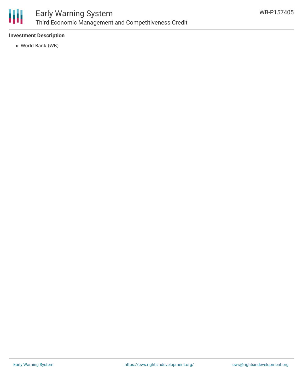

## **Investment Description**

World Bank (WB)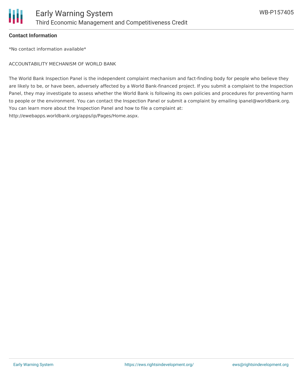

#### **Contact Information**

\*No contact information available\*

ACCOUNTABILITY MECHANISM OF WORLD BANK

The World Bank Inspection Panel is the independent complaint mechanism and fact-finding body for people who believe they are likely to be, or have been, adversely affected by a World Bank-financed project. If you submit a complaint to the Inspection Panel, they may investigate to assess whether the World Bank is following its own policies and procedures for preventing harm to people or the environment. You can contact the Inspection Panel or submit a complaint by emailing ipanel@worldbank.org. You can learn more about the Inspection Panel and how to file a complaint at: http://ewebapps.worldbank.org/apps/ip/Pages/Home.aspx.